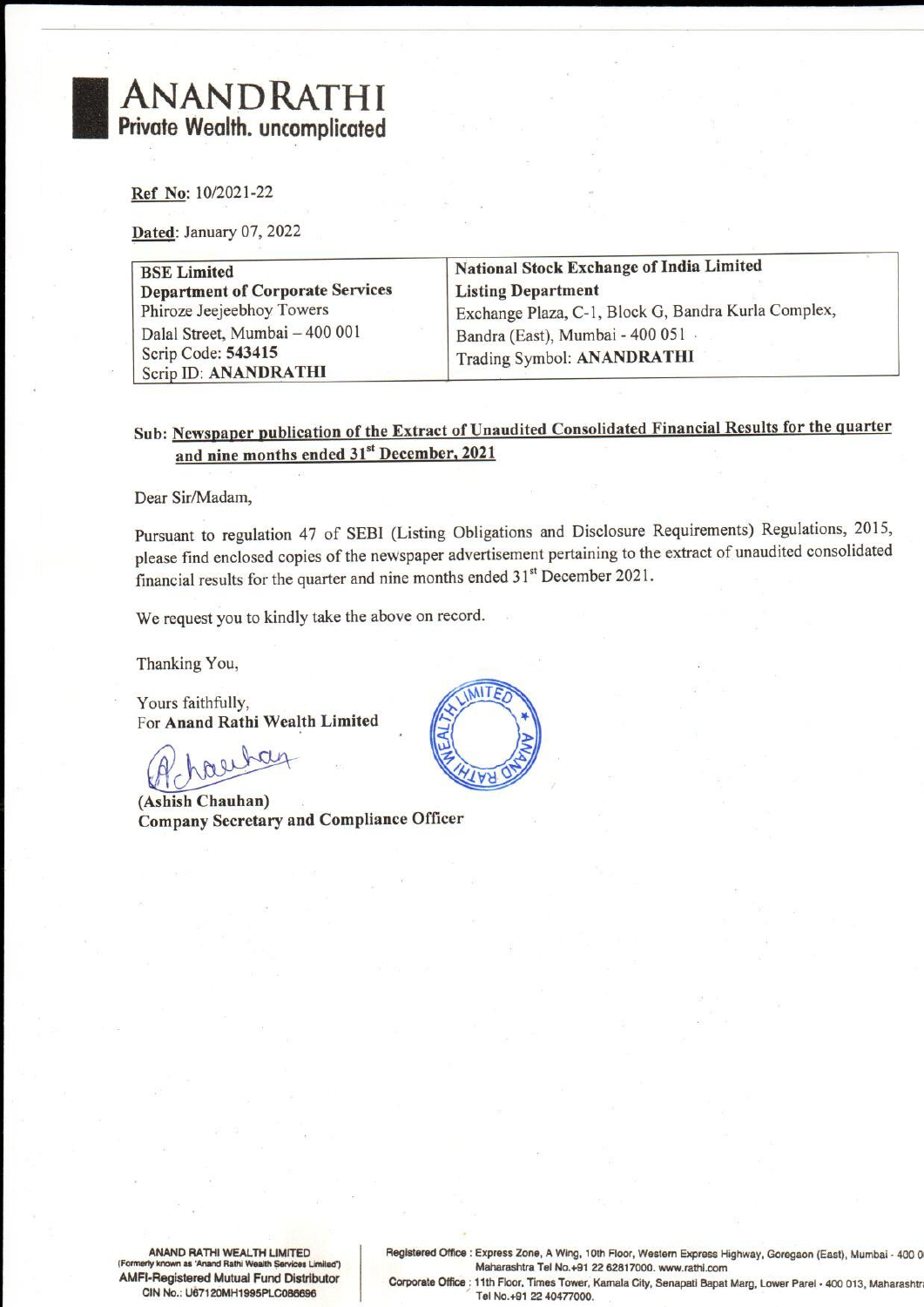# ANANDRATHI Private Wealth. uncomplicated ANANDRATHI<br>
Private Wealth. uncomplicated<br>
Ref. No: 10/2021-22<br>
Dated: January 07, 2022

| ANANDRATHI<br>rivate Wealth. uncomplicated                                                                                                         |                                                                                                                                                                          |
|----------------------------------------------------------------------------------------------------------------------------------------------------|--------------------------------------------------------------------------------------------------------------------------------------------------------------------------|
| Ref No: 10/2021-22<br>Dated: January 07, 2022                                                                                                      |                                                                                                                                                                          |
| <b>BSE Limited</b><br><b>Department of Corporate Services</b><br>Phiroze Jeejeebhoy Towers<br>Dalal Street, Mumbai - 400 001<br>Scrip Code: 543415 | <b>National Stock Exchange of India Limited</b><br><b>Listing Department</b><br>Exchange Plaza, C-1, Block G, Bandra Kurla Complex,<br>Bandra (East), Mumbai - 400 051 · |
| Scrip ID: ANANDRATHI                                                                                                                               | Trading Symbol: ANANDRATHI                                                                                                                                               |

### Sub: Newspaper publication of the Extract of Unaudited Consolidated Financial Results for the quarter and nine months ended 31" December, 2021

Dear Sir/Madam,

Sub: <u>Newspaper publication of the Extract of</u><br>
and nine months ended 31<sup>st</sup> December,<br>
Dear Sir/Madam,<br>
Pursuant to regulation 47 of SEBI (Listing C<br>
please find enclosed copies of the newspaper at<br>
financial results for Pursuant to regulation 47 of SEBI (Listing Obligations and Disclosure Requirements) Regulations, 2015, please find enclosed copies of the newspaper advertisement pertaining to the extract of unaudited consolidated financial results for the quarter and nine months ended 31<sup>st</sup> December 2021.

We request you to kindly take the above on record.

Thanking You,

Yours faithfully, For Anand Rathi Wealth Limited

nc

(Ashish Chauhan) Company Secretary and Compliance Officer



CIN No.: U67120MH1995PLC086696 AMFI-Registered Mutual Fund Distributor

ANAND RATHI WEALTH LIMITED Registered Office : Express Zone, A Wing, 10th Floor, Western Express Highway, Goregaon (East), Mumbai - 400 0<br>Maharashtra Tel No. +91 22 62817000 www.rathi com Maharashtra Tel No.+91 22 62817000. www.rathi.com<br>Corporate Office : 11th Floor, Times Tower, Kamala City, Senapati Bapat Marg, Lower Parel - 400 013, Maharashtr<br>Tel No.+91 22 40477000.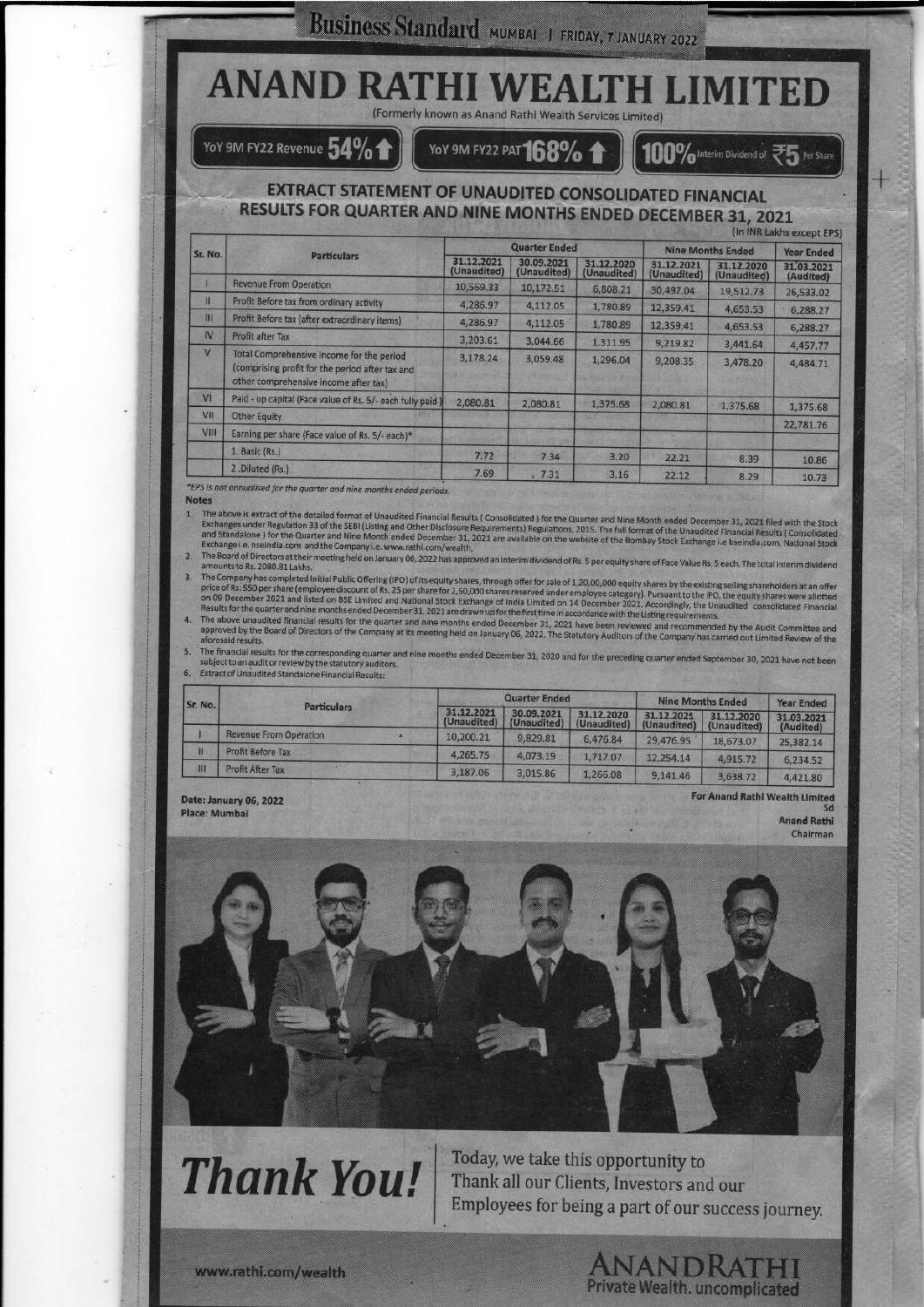## **BUSINESS Standard MUMBAL I FRIDAY, 7 JANUARY 2022**<br>ANAND RATHI WEALTH LIMITED Business Standard Business Standard MUMBAL | FRIDAY, 7 JANUARY 2022<br> **ID RATHI WEALTHLID**

### 100% Interim Dividend of  $\mathfrak{F}_5$  Per Shar

### EXTRACT STATEMENT OF UNAUDITED CONSOLIDATED FINANCIAL RESULTS FOR QUARTER AND.NINE MONTHS ENDED DECEMBER 31, 2021

|                                          | Business Standard MUMBAI   FRIDAY, 7 JANUARY 2022                                                                                                                                                                                                                                                                                                                   |                           |                           |                         |                          |                                        |                                 |  |  |
|------------------------------------------|---------------------------------------------------------------------------------------------------------------------------------------------------------------------------------------------------------------------------------------------------------------------------------------------------------------------------------------------------------------------|---------------------------|---------------------------|-------------------------|--------------------------|----------------------------------------|---------------------------------|--|--|
|                                          |                                                                                                                                                                                                                                                                                                                                                                     |                           |                           |                         |                          |                                        |                                 |  |  |
|                                          |                                                                                                                                                                                                                                                                                                                                                                     |                           |                           |                         |                          |                                        |                                 |  |  |
|                                          | <b>ANAND RATHI WEALTH LIMITED</b>                                                                                                                                                                                                                                                                                                                                   |                           |                           |                         |                          |                                        |                                 |  |  |
|                                          | (Formerly known as Anand Rathi Wealth Services Limited)                                                                                                                                                                                                                                                                                                             |                           |                           |                         |                          |                                        |                                 |  |  |
|                                          | YoY 9M FY22 Revenue $54\%$                                                                                                                                                                                                                                                                                                                                          |                           |                           |                         |                          |                                        |                                 |  |  |
|                                          |                                                                                                                                                                                                                                                                                                                                                                     |                           | YoY 9M FY22 PAT 168%      |                         |                          | 100% Interim Dividend of 25            | Per Share                       |  |  |
|                                          | RESULTS FOR QUARTER AND NINE MONTHS ENDED DECEMBER 31, 2021                                                                                                                                                                                                                                                                                                         |                           | <b>Quarter Ended</b>      |                         |                          |                                        | (In INR Lakhs except EPS)       |  |  |
| Sr. No.                                  | <b>Particulars</b>                                                                                                                                                                                                                                                                                                                                                  | 31.12.2021                | 30.09.2021                | 31.12.2020              | 31.12.2021               | <b>Nine Months Ended</b><br>31,12,2020 | <b>Year Ended</b><br>31.03.2021 |  |  |
| г                                        | <b>Revenue From Operation</b>                                                                                                                                                                                                                                                                                                                                       | (Unaudited)<br>10,569.33  | (Unaudited)<br>10,172.51  | (Unaudited)<br>6,808.21 | (Unaudited)<br>30,497.04 | (Unaudited)<br>19,512.73               | (Audited)                       |  |  |
| Ш                                        | Profit Before tax from ordinary activity                                                                                                                                                                                                                                                                                                                            | 4,286.97                  | 4,112.05                  | 1,780.89                | 12,359.41                | 4,653.53                               | 26,533.02<br>6,288.27           |  |  |
| 扭                                        | Profit Before tax (after extraordinary items)                                                                                                                                                                                                                                                                                                                       | 4,286.97                  | 4,112.05                  | 1,780.89                | 12,359.41                | 4,653.53                               | 6,288.27                        |  |  |
| IV<br>$\vee$                             | Profit after Tax                                                                                                                                                                                                                                                                                                                                                    | 3,203.61                  | 3,044.66                  | 1,311.95                | 9,219.82                 | 3,441.64                               | 4,457.77                        |  |  |
|                                          | Total Comprehensive Income for the period<br>(comprising profit for the period after tax and<br>other comprehensive income after tax)                                                                                                                                                                                                                               | 3,178.24                  | 3,059.48                  | 1,296.04                | 9,208.35                 | 3,478.20                               | 4,484.71                        |  |  |
| VI                                       | Paid - up capital (Face value of Rs. 5/- each fully paid                                                                                                                                                                                                                                                                                                            | 2,080.81                  | 2,080.81                  | 1,375.68                | 2,080.81                 | 1,375.68                               | 1,375.68                        |  |  |
| VII                                      | <b>Other Equity</b>                                                                                                                                                                                                                                                                                                                                                 |                           |                           |                         |                          |                                        | 22,781.76                       |  |  |
| VIII                                     | Earning per share (Face value of Rs. 5/- each)*<br>1. Basic (Rs.)                                                                                                                                                                                                                                                                                                   |                           |                           |                         |                          |                                        |                                 |  |  |
|                                          | 2.Diluted (Rs.)                                                                                                                                                                                                                                                                                                                                                     | 7.72                      | 7.34                      | 3.20                    | 22.21                    | 8.39                                   | 10.86                           |  |  |
|                                          |                                                                                                                                                                                                                                                                                                                                                                     | 7.69                      | 7.31                      | 3.16                    | 22.12                    | 8.29                                   | 10.73                           |  |  |
|                                          |                                                                                                                                                                                                                                                                                                                                                                     |                           |                           |                         |                          |                                        |                                 |  |  |
|                                          | *EPS is not annualised for the quarter and nine months ended periods.                                                                                                                                                                                                                                                                                               |                           |                           |                         |                          |                                        |                                 |  |  |
|                                          | 1. The above is extract of the detailed format of Unaudited Financial Results (Consolidated) for the Quarter and Nine Month ended December 31, 2021 filed with the Stock                                                                                                                                                                                            |                           |                           |                         |                          |                                        |                                 |  |  |
|                                          | Exchanges under Regulation 33 of the SEBI (Listing and Other Disclosure Requirements) Regulations, 2015. The full format of the Unaudited Financial Results (Consolidated                                                                                                                                                                                           |                           |                           |                         |                          |                                        |                                 |  |  |
|                                          | and Standalone ) for the Quarter and Nine Month ended December 31, 2021 are available on the website of the Bombay Stock Exchange i.e bseindia.com, National Stock<br>Exchange i.e. nseindia.com and the Company i.e. www.rathi.com/wealth.                                                                                                                         |                           |                           |                         |                          |                                        |                                 |  |  |
|                                          | The Board of Directors at their meeting held on January 06, 2022 has approved an interim dividend of Rs. 5 per equity share of Face Value Rs. 5 each. The total interim dividend                                                                                                                                                                                    |                           |                           |                         |                          |                                        |                                 |  |  |
|                                          | The Company has completed Initial Public Offering (IPO) of its equity shares, through offer for sale of 1,20,00,000 equity shares by the existing selling shareholders at an offer<br>price of Rs. 550 per share (employee discount of Rs. 25 per share for 2,50,000 shares reserved under employee category). Pursuant to the IPO, the equity shares were allotted |                           |                           |                         |                          |                                        |                                 |  |  |
|                                          | on 09 December 2021 and listed on BSE Limited and National Stock Exchange of India Limited on 14 December 2021. Accordingly, the Unaudited consolidated Financial<br>Results for the quarter and nine months ended December 31, 2021 are drawn up for the first time in accordance with the Listing requirements.                                                   |                           |                           |                         |                          |                                        |                                 |  |  |
|                                          | 4. The above unaudited financial results for the quarter and nine months ended December 31, 2021 have been reviewed and recommended by the Audit Committee and<br>approved by the Board of Directors of the Company at its meeting held on January 06, 2022. The Statutory Auditors of the Company has carried out Limited Review of the                            |                           |                           |                         |                          |                                        |                                 |  |  |
|                                          | The financial results for the corresponding quarter and nine months ended December 31, 2020 and for the preceding quarter ended September 30, 2021 have not been                                                                                                                                                                                                    |                           |                           |                         |                          |                                        |                                 |  |  |
|                                          | subject to an audit or review by the statutory auditors.<br>6. Extract of Unaudited Standalone Financial Results:                                                                                                                                                                                                                                                   |                           |                           |                         |                          |                                        |                                 |  |  |
|                                          |                                                                                                                                                                                                                                                                                                                                                                     |                           | <b>Quarter Ended</b>      |                         | <b>Nine Months Ended</b> |                                        | <b>Year Ended</b>               |  |  |
|                                          | <b>Particulars</b>                                                                                                                                                                                                                                                                                                                                                  | 31.12.2021<br>(Unaudited) | 30.09.2021<br>(Unaudited) | 31.12.2020              | 31,12,2021               | 31.12.2020                             | 31.03.2021                      |  |  |
|                                          | <b>Revenue From Operation</b>                                                                                                                                                                                                                                                                                                                                       | 10,200.21                 | 9,829.81                  | (Unaudited)<br>6,476.84 | (Unaudited)<br>29,476.95 | (Unaudited)<br>18,673.07               | (Audited)<br>25,382.14          |  |  |
| <b>Notes</b><br>2.<br>3.<br>Sr. No.<br>Ħ | <b>Profit Before Tax</b>                                                                                                                                                                                                                                                                                                                                            | 4,265.75                  | 4,073.19                  | 1,717.07                | 12,254.14                | 4,915.72                               | 6,234.52                        |  |  |
| Ш                                        | <b>Profit After Tax</b>                                                                                                                                                                                                                                                                                                                                             | 3,187.06                  | 3,015.86                  | 1,266.08                | 9,141.46                 | 3,638.72                               | 4,421.80                        |  |  |

- The above is extract of the detailed format of Unaudited Financial Results (Consolidated ) for the Quarter and Nine Month ended December 31, 2021 filed with the Stock<br>Exchanges under Regulation 33 of the SEBI (Listing and
- 
- 
- 

| . .<br>Sr. No. | <b>Particulars</b>            | <b>Quarter Ended</b>                                                                                |                                  |                             | <b>Nine Months Ended</b>  |                                       | <b>Year Ended</b>                    |
|----------------|-------------------------------|-----------------------------------------------------------------------------------------------------|----------------------------------|-----------------------------|---------------------------|---------------------------------------|--------------------------------------|
|                |                               | 31.12.2021<br>(Unaudited)                                                                           | 30.09.2021<br>(Unaudited)        | 31.12.2020<br>(Unaudited)   | 31.12.2021<br>(Unaudited) | 31.12.2020<br>(Unaudited)             | 31.03.2021<br>(Audited)              |
|                | <b>Revenue From Operation</b> | 10,200.21                                                                                           | 9,829.81                         | 6,476.84                    | 29,476.95                 | 18,673.07                             | 25,382.14                            |
| Ħ              | <b>Profit Before Tax</b>      | 4,265.75                                                                                            | 4,073.19                         | 1,717.07                    | 12.254.14                 | 4,915.72                              | 6,234.52                             |
| Ш              | Profit After Tax              | 3,187.06                                                                                            | 3,015.86                         | 1,266.08                    | 9,141.46                  | 3,638.72                              | 4,421.80                             |
| Place: Mumbai  | Date: January 06, 2022        | <b>MORDAN MARKS</b><br>of the anti- and the property of the control coupled and market the property | School and the first base of the | The direct buying and not a |                           | <b>For Anand Rathi Wealth Limited</b> | Sd<br><b>Anand Rathi</b><br>Chairman |



Thank You! Today, we take this opportunity to Employees for being a part of our success journey.

ANANDRATHI